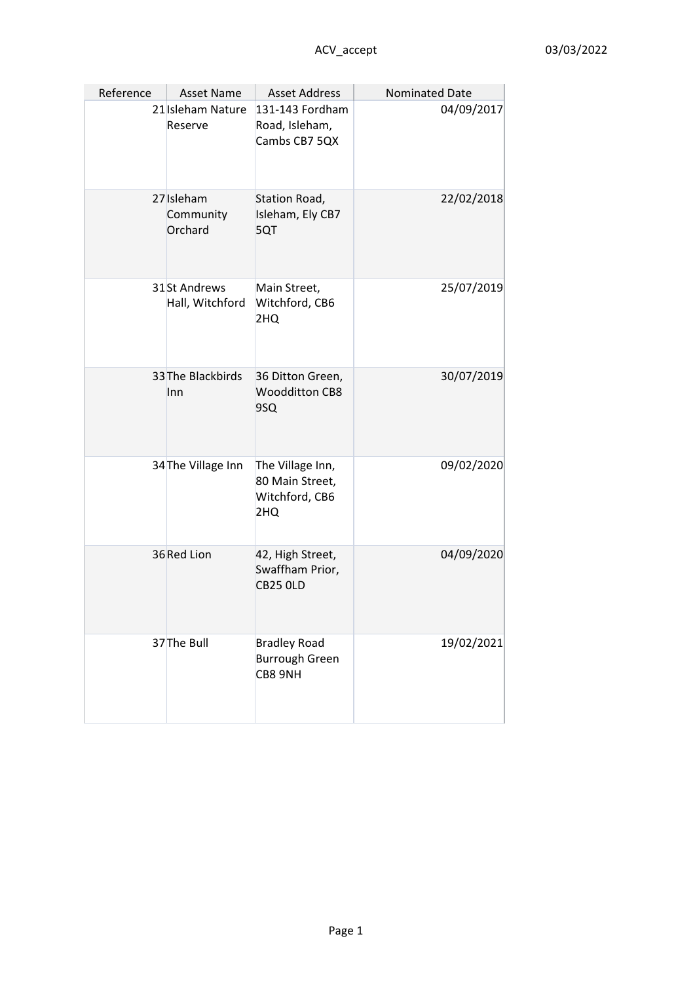| Reference | Asset Name                         | <b>Asset Address</b>                                         | Nominated Date |
|-----------|------------------------------------|--------------------------------------------------------------|----------------|
|           | 21 Isleham Nature<br>Reserve       | 131-143 Fordham<br>Road, Isleham,<br>Cambs CB7 5QX           | 04/09/2017     |
|           | 27 Isleham<br>Community<br>Orchard | Station Road,<br>Isleham, Ely CB7<br>5QT                     | 22/02/2018     |
|           | 31St Andrews<br>Hall, Witchford    | Main Street,<br>Witchford, CB6<br>2HQ                        | 25/07/2019     |
|           | 33 The Blackbirds<br>Inn           | 36 Ditton Green,<br><b>Woodditton CB8</b><br>9SQ             | 30/07/2019     |
|           | 34 The Village Inn                 | The Village Inn,<br>80 Main Street,<br>Witchford, CB6<br>2HQ | 09/02/2020     |
|           | 36 Red Lion                        | 42, High Street,<br>Swaffham Prior,<br><b>CB25 OLD</b>       | 04/09/2020     |
|           | 37 The Bull                        | <b>Bradley Road</b><br><b>Burrough Green</b><br>CB8 9NH      | 19/02/2021     |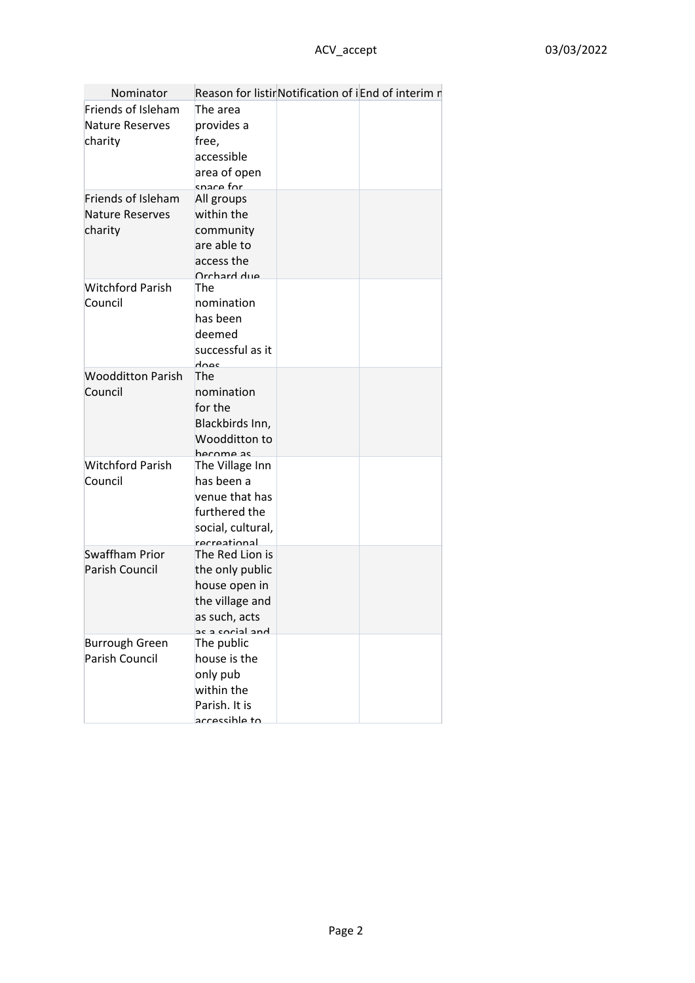| Nominator                                               |                                                                                                            | Reason for listirNotification of iEnd of interim n |
|---------------------------------------------------------|------------------------------------------------------------------------------------------------------------|----------------------------------------------------|
| Friends of Isleham<br><b>Nature Reserves</b><br>charity | The area<br>provides a<br>free,<br>accessible<br>area of open<br>snare for                                 |                                                    |
| Friends of Isleham<br><b>Nature Reserves</b><br>charity | All groups<br>within the<br>community<br>are able to<br>access the<br><b>Orchard due</b>                   |                                                    |
| <b>Witchford Parish</b><br>Council                      | The<br>nomination<br>has been<br>deemed<br>successful as it<br>does                                        |                                                    |
| <b>Woodditton Parish</b><br>Council                     | The<br>nomination<br>for the<br>Blackbirds Inn,<br>Woodditton to<br>harnma ac                              |                                                    |
| <b>Witchford Parish</b><br>Council                      | The Village Inn<br>has been a<br>venue that has<br>furthered the<br>social, cultural,<br>recreational      |                                                    |
| <b>Swaffham Prior</b><br>Parish Council                 | The Red Lion is<br>the only public<br>house open in<br>the village and<br>as such, acts<br>hne leinns e se |                                                    |
| <b>Burrough Green</b><br>Parish Council                 | The public<br>house is the<br>only pub<br>within the<br>Parish. It is<br>accassible to                     |                                                    |